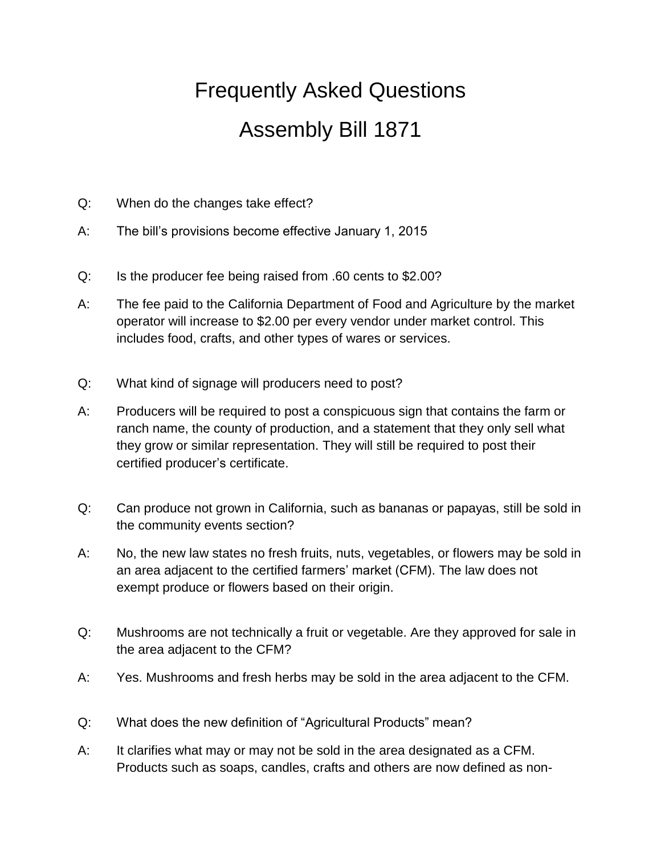## Frequently Asked Questions Assembly Bill 1871

- Q: When do the changes take effect?
- A: The bill's provisions become effective January 1, 2015
- Q: Is the producer fee being raised from .60 cents to \$2.00?
- A: The fee paid to the California Department of Food and Agriculture by the market operator will increase to \$2.00 per every vendor under market control. This includes food, crafts, and other types of wares or services.
- Q: What kind of signage will producers need to post?
- A: Producers will be required to post a conspicuous sign that contains the farm or ranch name, the county of production, and a statement that they only sell what they grow or similar representation. They will still be required to post their certified producer's certificate.
- Q: Can produce not grown in California, such as bananas or papayas, still be sold in the community events section?
- A: No, the new law states no fresh fruits, nuts, vegetables, or flowers may be sold in an area adjacent to the certified farmers' market (CFM). The law does not exempt produce or flowers based on their origin.
- Q: Mushrooms are not technically a fruit or vegetable. Are they approved for sale in the area adjacent to the CFM?
- A: Yes. Mushrooms and fresh herbs may be sold in the area adjacent to the CFM.
- Q: What does the new definition of "Agricultural Products" mean?
- A: It clarifies what may or may not be sold in the area designated as a CFM. Products such as soaps, candles, crafts and others are now defined as non-